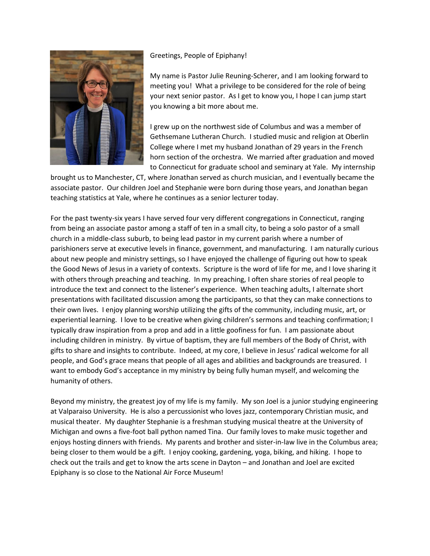

## Greetings, People of Epiphany!

My name is Pastor Julie Reuning-Scherer, and I am looking forward to meeting you! What a privilege to be considered for the role of being your next senior pastor. As I get to know you, I hope I can jump start you knowing a bit more about me.

I grew up on the northwest side of Columbus and was a member of Gethsemane Lutheran Church. I studied music and religion at Oberlin College where I met my husband Jonathan of 29 years in the French horn section of the orchestra. We married after graduation and moved to Connecticut for graduate school and seminary at Yale. My internship

brought us to Manchester, CT, where Jonathan served as church musician, and I eventually became the associate pastor. Our children Joel and Stephanie were born during those years, and Jonathan began teaching statistics at Yale, where he continues as a senior lecturer today.

For the past twenty-six years I have served four very different congregations in Connecticut, ranging from being an associate pastor among a staff of ten in a small city, to being a solo pastor of a small church in a middle-class suburb, to being lead pastor in my current parish where a number of parishioners serve at executive levels in finance, government, and manufacturing. I am naturally curious about new people and ministry settings, so I have enjoyed the challenge of figuring out how to speak the Good News of Jesus in a variety of contexts. Scripture is the word of life for me, and I love sharing it with others through preaching and teaching. In my preaching, I often share stories of real people to introduce the text and connect to the listener's experience. When teaching adults, I alternate short presentations with facilitated discussion among the participants, so that they can make connections to their own lives. I enjoy planning worship utilizing the gifts of the community, including music, art, or experiential learning. I love to be creative when giving children's sermons and teaching confirmation; I typically draw inspiration from a prop and add in a little goofiness for fun. I am passionate about including children in ministry. By virtue of baptism, they are full members of the Body of Christ, with gifts to share and insights to contribute. Indeed, at my core, I believe in Jesus' radical welcome for all people, and God's grace means that people of all ages and abilities and backgrounds are treasured. I want to embody God's acceptance in my ministry by being fully human myself, and welcoming the humanity of others.

Beyond my ministry, the greatest joy of my life is my family. My son Joel is a junior studying engineering at Valparaiso University. He is also a percussionist who loves jazz, contemporary Christian music, and musical theater. My daughter Stephanie is a freshman studying musical theatre at the University of Michigan and owns a five-foot ball python named Tina. Our family loves to make music together and enjoys hosting dinners with friends. My parents and brother and sister-in-law live in the Columbus area; being closer to them would be a gift. I enjoy cooking, gardening, yoga, biking, and hiking. I hope to check out the trails and get to know the arts scene in Dayton – and Jonathan and Joel are excited Epiphany is so close to the National Air Force Museum!